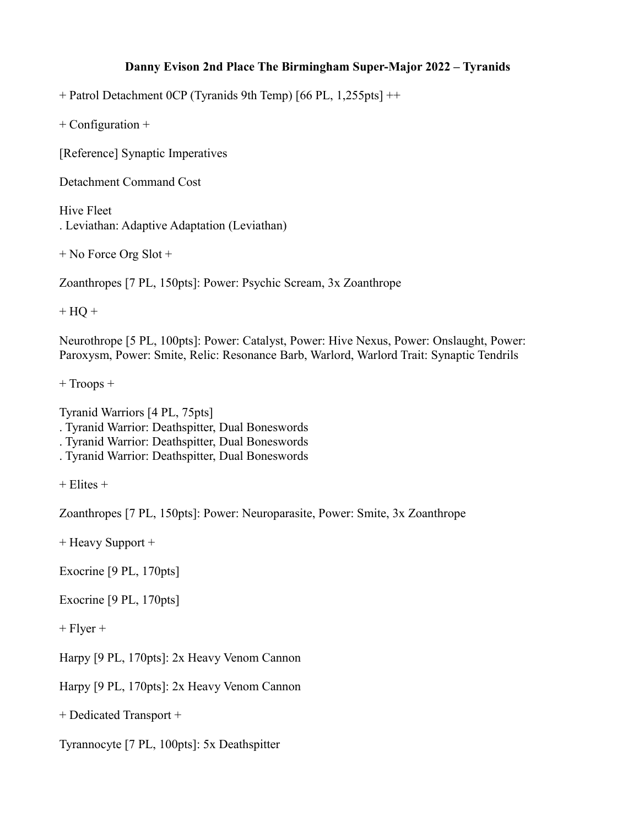## **Danny Evison 2nd Place The Birmingham Super-Major 2022 – Tyranids**

+ Patrol Detachment 0CP (Tyranids 9th Temp) [66 PL, 1,255pts] ++

+ Configuration +

[Reference] Synaptic Imperatives

Detachment Command Cost

Hive Fleet . Leviathan: Adaptive Adaptation (Leviathan)

+ No Force Org Slot +

Zoanthropes [7 PL, 150pts]: Power: Psychic Scream, 3x Zoanthrope

 $+ HO +$ 

Neurothrope [5 PL, 100pts]: Power: Catalyst, Power: Hive Nexus, Power: Onslaught, Power: Paroxysm, Power: Smite, Relic: Resonance Barb, Warlord, Warlord Trait: Synaptic Tendrils

+ Troops +

Tyranid Warriors [4 PL, 75pts] . Tyranid Warrior: Deathspitter, Dual Boneswords . Tyranid Warrior: Deathspitter, Dual Boneswords . Tyranid Warrior: Deathspitter, Dual Boneswords

 $+$  Elites  $+$ 

Zoanthropes [7 PL, 150pts]: Power: Neuroparasite, Power: Smite, 3x Zoanthrope

+ Heavy Support +

Exocrine [9 PL, 170pts]

Exocrine [9 PL, 170pts]

 $+$  Flyer  $+$ 

Harpy [9 PL, 170pts]: 2x Heavy Venom Cannon

Harpy [9 PL, 170pts]: 2x Heavy Venom Cannon

+ Dedicated Transport +

Tyrannocyte [7 PL, 100pts]: 5x Deathspitter